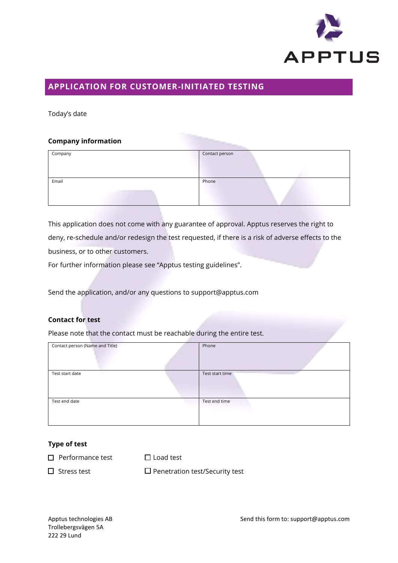

# **APPLICATION FOR CUSTOMER-INITIATED TESTING**

Today's date

### **Company information**

| Company | Contact person |
|---------|----------------|
| Email   | Phone          |

This application does not come with any guarantee of approval. Apptus reserves the right to deny, re-schedule and/or redesign the test requested, if there is a risk of adverse effects to the business, or to other customers.

For further information please see "Apptus testing guidelines".

Send the application, and/or any questions to support@apptus.com

# **Contact for test**

Please note that the contact must be reachable during the entire test.

| Contact person (Name and Title) | Phone           |
|---------------------------------|-----------------|
|                                 |                 |
|                                 |                 |
| Test start date                 | Test start time |
|                                 |                 |
| Test end date                   | Test end time   |
|                                 |                 |
|                                 |                 |

#### **Type of test**

 $\square$  Performance test  $\square$  Load test

 $\square$  Stress test  $\square$  Penetration test/Security test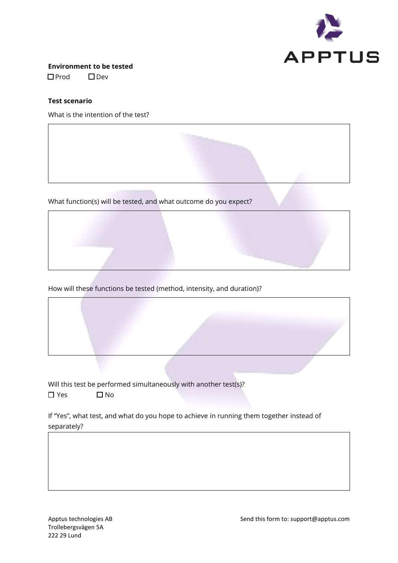

**Environment to be tested** Prod Dev

# **Test scenario**

What is the intention of the test?

What function(s) will be tested, and what outcome do you expect?

How will these functions be tested (method, intensity, and duration)?

Will this test be performed simultaneously with another test(s)?  $\square$  Yes  $\square$  No

If "Yes", what test, and what do you hope to achieve in running them together instead of separately?